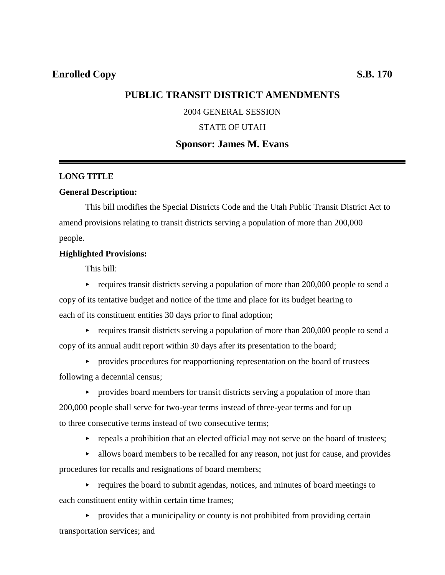# **PUBLIC TRANSIT DISTRICT AMENDMENTS**

## 2004 GENERAL SESSION

## STATE OF UTAH

## **Sponsor: James M. Evans**

## **LONG TITLE**

### **General Description:**

This bill modifies the Special Districts Code and the Utah Public Transit District Act to amend provisions relating to transit districts serving a population of more than 200,000 people.

### **Highlighted Provisions:**

This bill:

- $\blacktriangleright$  requires transit districts serving a population of more than 200,000 people to send a copy of its tentative budget and notice of the time and place for its budget hearing to each of its constituent entities 30 days prior to final adoption;
- $\blacktriangleright$  requires transit districts serving a population of more than 200,000 people to send a copy of its annual audit report within 30 days after its presentation to the board;
- **PEDECISE:** provides procedures for reapportioning representation on the board of trustees following a decennial census;
	- **Exercise** board members for transit districts serving a population of more than

200,000 people shall serve for two-year terms instead of three-year terms and for up to three consecutive terms instead of two consecutive terms;

- $\blacktriangleright$  repeals a prohibition that an elected official may not serve on the board of trustees;
- $\blacktriangleright$  allows board members to be recalled for any reason, not just for cause, and provides procedures for recalls and resignations of board members;

 $\blacktriangleright$  requires the board to submit agendas, notices, and minutes of board meetings to each constituent entity within certain time frames;

 $\rightarrow$  provides that a municipality or county is not prohibited from providing certain transportation services; and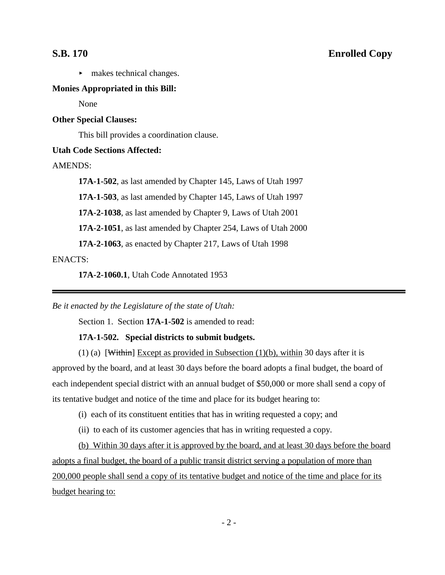# **S.B. 170 Enrolled Copy**

 $\blacktriangleright$  makes technical changes.

## **Monies Appropriated in this Bill:**

None

## **Other Special Clauses:**

This bill provides a coordination clause.

### **Utah Code Sections Affected:**

AMENDS:

**17A-1-502**, as last amended by Chapter 145, Laws of Utah 1997

**17A-1-503**, as last amended by Chapter 145, Laws of Utah 1997

**17A-2-1038**, as last amended by Chapter 9, Laws of Utah 2001

**17A-2-1051**, as last amended by Chapter 254, Laws of Utah 2000

**17A-2-1063**, as enacted by Chapter 217, Laws of Utah 1998

ENACTS:

**17A-2-1060.1**, Utah Code Annotated 1953

*Be it enacted by the Legislature of the state of Utah:*

Section 1. Section **17A-1-502** is amended to read:

### **17A-1-502. Special districts to submit budgets.**

(1) (a) [Within] Except as provided in Subsection (1)(b), within 30 days after it is approved by the board, and at least 30 days before the board adopts a final budget, the board of each independent special district with an annual budget of \$50,000 or more shall send a copy of its tentative budget and notice of the time and place for its budget hearing to:

(i) each of its constituent entities that has in writing requested a copy; and

(ii) to each of its customer agencies that has in writing requested a copy.

(b) Within 30 days after it is approved by the board, and at least 30 days before the board adopts a final budget, the board of a public transit district serving a population of more than 200,000 people shall send a copy of its tentative budget and notice of the time and place for its budget hearing to: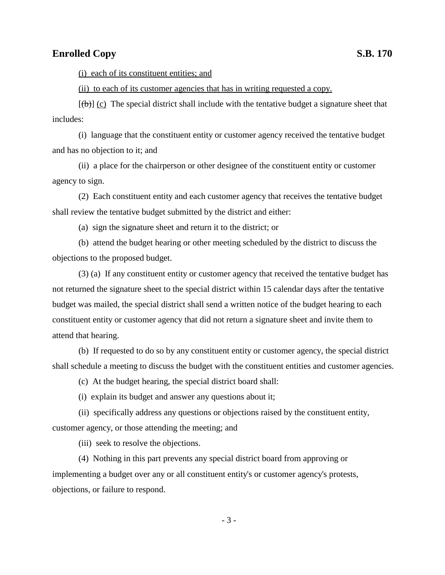(i) each of its constituent entities; and

(ii) to each of its customer agencies that has in writing requested a copy.

 $[(\theta)]$  (c) The special district shall include with the tentative budget a signature sheet that includes:

(i) language that the constituent entity or customer agency received the tentative budget and has no objection to it; and

(ii) a place for the chairperson or other designee of the constituent entity or customer agency to sign.

(2) Each constituent entity and each customer agency that receives the tentative budget shall review the tentative budget submitted by the district and either:

(a) sign the signature sheet and return it to the district; or

(b) attend the budget hearing or other meeting scheduled by the district to discuss the objections to the proposed budget.

(3) (a) If any constituent entity or customer agency that received the tentative budget has not returned the signature sheet to the special district within 15 calendar days after the tentative budget was mailed, the special district shall send a written notice of the budget hearing to each constituent entity or customer agency that did not return a signature sheet and invite them to attend that hearing.

(b) If requested to do so by any constituent entity or customer agency, the special district shall schedule a meeting to discuss the budget with the constituent entities and customer agencies.

(c) At the budget hearing, the special district board shall:

(i) explain its budget and answer any questions about it;

(ii) specifically address any questions or objections raised by the constituent entity, customer agency, or those attending the meeting; and

(iii) seek to resolve the objections.

(4) Nothing in this part prevents any special district board from approving or implementing a budget over any or all constituent entity's or customer agency's protests, objections, or failure to respond.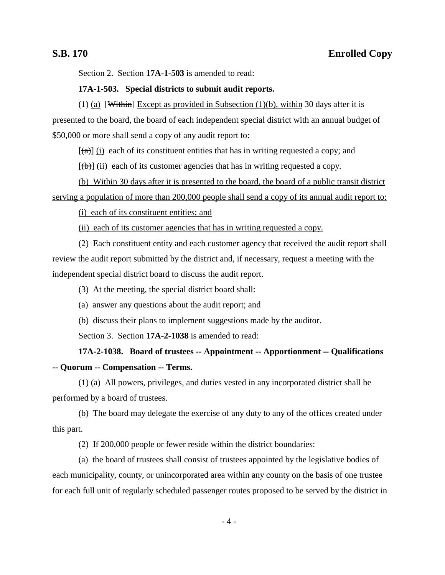Section 2. Section **17A-1-503** is amended to read:

## **17A-1-503. Special districts to submit audit reports.**

(1) (a) [Within] Except as provided in Subsection (1)(b), within 30 days after it is presented to the board, the board of each independent special district with an annual budget of \$50,000 or more shall send a copy of any audit report to:

 $[(a)]$  (i) each of its constituent entities that has in writing requested a copy; and

 $[(\theta)]$  (ii) each of its customer agencies that has in writing requested a copy.

(b) Within 30 days after it is presented to the board, the board of a public transit district serving a population of more than 200,000 people shall send a copy of its annual audit report to:

(i) each of its constituent entities; and

(ii) each of its customer agencies that has in writing requested a copy.

(2) Each constituent entity and each customer agency that received the audit report shall review the audit report submitted by the district and, if necessary, request a meeting with the independent special district board to discuss the audit report.

(3) At the meeting, the special district board shall:

- (a) answer any questions about the audit report; and
- (b) discuss their plans to implement suggestions made by the auditor.

Section 3. Section **17A-2-1038** is amended to read:

**17A-2-1038. Board of trustees -- Appointment -- Apportionment -- Qualifications -- Quorum -- Compensation -- Terms.**

(1) (a) All powers, privileges, and duties vested in any incorporated district shall be performed by a board of trustees.

(b) The board may delegate the exercise of any duty to any of the offices created under this part.

(2) If 200,000 people or fewer reside within the district boundaries:

(a) the board of trustees shall consist of trustees appointed by the legislative bodies of each municipality, county, or unincorporated area within any county on the basis of one trustee for each full unit of regularly scheduled passenger routes proposed to be served by the district in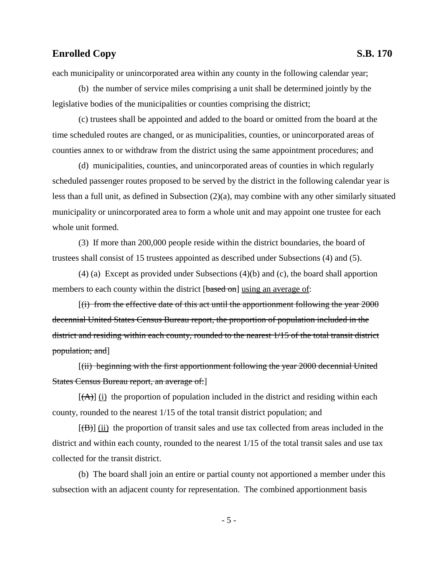each municipality or unincorporated area within any county in the following calendar year;

(b) the number of service miles comprising a unit shall be determined jointly by the legislative bodies of the municipalities or counties comprising the district;

(c) trustees shall be appointed and added to the board or omitted from the board at the time scheduled routes are changed, or as municipalities, counties, or unincorporated areas of counties annex to or withdraw from the district using the same appointment procedures; and

(d) municipalities, counties, and unincorporated areas of counties in which regularly scheduled passenger routes proposed to be served by the district in the following calendar year is less than a full unit, as defined in Subsection (2)(a), may combine with any other similarly situated municipality or unincorporated area to form a whole unit and may appoint one trustee for each whole unit formed.

(3) If more than 200,000 people reside within the district boundaries, the board of trustees shall consist of 15 trustees appointed as described under Subsections (4) and (5).

 $(4)$  (a) Except as provided under Subsections  $(4)(b)$  and (c), the board shall apportion members to each county within the district [based on] using an average of:

 $f(t)$  from the effective date of this act until the apportionment following the year  $2000$ decennial United States Census Bureau report, the proportion of population included in the district and residing within each county, rounded to the nearest 1/15 of the total transit district population; and]

[(ii) beginning with the first apportionment following the year 2000 decennial United States Census Bureau report, an average of:]

 $[(A)]$  (i) the proportion of population included in the district and residing within each county, rounded to the nearest 1/15 of the total transit district population; and

 $[\overrightarrow{AB}]$  (ii) the proportion of transit sales and use tax collected from areas included in the district and within each county, rounded to the nearest 1/15 of the total transit sales and use tax collected for the transit district.

(b) The board shall join an entire or partial county not apportioned a member under this subsection with an adjacent county for representation. The combined apportionment basis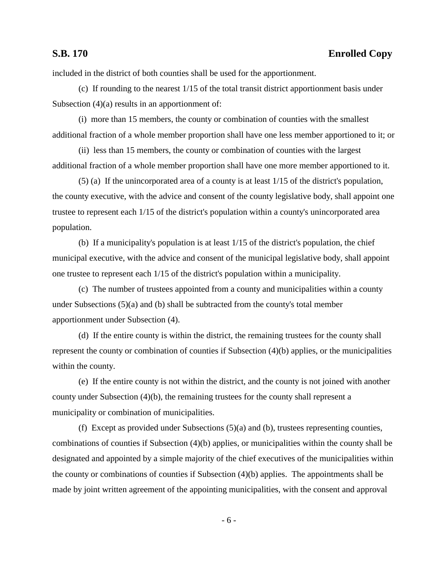# **S.B. 170 Enrolled Copy**

included in the district of both counties shall be used for the apportionment.

(c) If rounding to the nearest 1/15 of the total transit district apportionment basis under Subsection (4)(a) results in an apportionment of:

(i) more than 15 members, the county or combination of counties with the smallest additional fraction of a whole member proportion shall have one less member apportioned to it; or

(ii) less than 15 members, the county or combination of counties with the largest additional fraction of a whole member proportion shall have one more member apportioned to it.

(5) (a) If the unincorporated area of a county is at least 1/15 of the district's population, the county executive, with the advice and consent of the county legislative body, shall appoint one trustee to represent each 1/15 of the district's population within a county's unincorporated area population.

(b) If a municipality's population is at least 1/15 of the district's population, the chief municipal executive, with the advice and consent of the municipal legislative body, shall appoint one trustee to represent each 1/15 of the district's population within a municipality.

(c) The number of trustees appointed from a county and municipalities within a county under Subsections (5)(a) and (b) shall be subtracted from the county's total member apportionment under Subsection (4).

(d) If the entire county is within the district, the remaining trustees for the county shall represent the county or combination of counties if Subsection (4)(b) applies, or the municipalities within the county.

(e) If the entire county is not within the district, and the county is not joined with another county under Subsection (4)(b), the remaining trustees for the county shall represent a municipality or combination of municipalities.

(f) Except as provided under Subsections (5)(a) and (b), trustees representing counties, combinations of counties if Subsection (4)(b) applies, or municipalities within the county shall be designated and appointed by a simple majority of the chief executives of the municipalities within the county or combinations of counties if Subsection (4)(b) applies. The appointments shall be made by joint written agreement of the appointing municipalities, with the consent and approval

- 6 -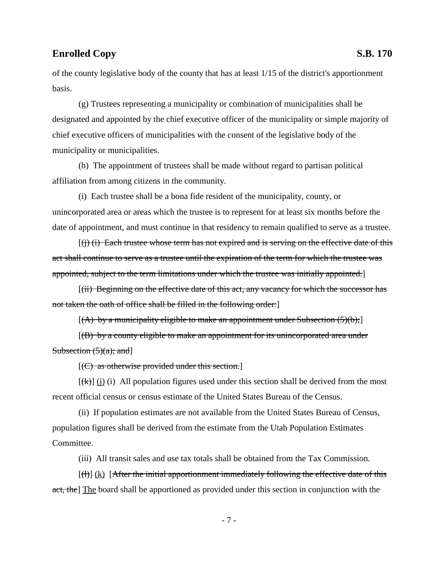of the county legislative body of the county that has at least 1/15 of the district's apportionment basis.

(g) Trustees representing a municipality or combination of municipalities shall be designated and appointed by the chief executive officer of the municipality or simple majority of chief executive officers of municipalities with the consent of the legislative body of the municipality or municipalities.

(h) The appointment of trustees shall be made without regard to partisan political affiliation from among citizens in the community.

(i) Each trustee shall be a bona fide resident of the municipality, county, or unincorporated area or areas which the trustee is to represent for at least six months before the date of appointment, and must continue in that residency to remain qualified to serve as a trustee.

 $[(i)$  (i) Each trustee whose term has not expired and is serving on the effective date of this act shall continue to serve as a trustee until the expiration of the term for which the trustee was appointed, subject to the term limitations under which the trustee was initially appointed.]

[(ii) Beginning on the effective date of this act, any vacancy for which the successor has not taken the oath of office shall be filled in the following order:]

 $[(A)$  by a municipality eligible to make an appointment under Subsection  $(5)(b)$ ;

 $[(B)$  by a county eligible to make an appointment for its unincorporated area under Subsection  $(5)(a)$ ; and

 $[(C)$  as otherwise provided under this section.]

 $[(\mathbf{k})]$  (i) (i) All population figures used under this section shall be derived from the most recent official census or census estimate of the United States Bureau of the Census.

(ii) If population estimates are not available from the United States Bureau of Census, population figures shall be derived from the estimate from the Utah Population Estimates Committee.

(iii) All transit sales and use tax totals shall be obtained from the Tax Commission.

 $[(\dagger)]$  (k) [After the initial apportionment immediately following the effective date of this act, the The board shall be apportioned as provided under this section in conjunction with the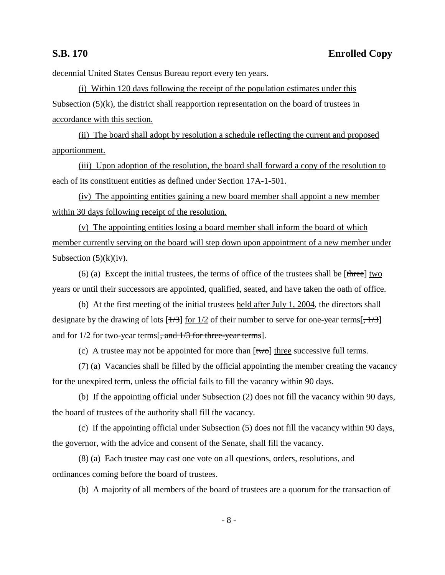decennial United States Census Bureau report every ten years.

(i) Within 120 days following the receipt of the population estimates under this Subsection  $(5)(k)$ , the district shall reapportion representation on the board of trustees in accordance with this section.

(ii) The board shall adopt by resolution a schedule reflecting the current and proposed apportionment.

(iii) Upon adoption of the resolution, the board shall forward a copy of the resolution to each of its constituent entities as defined under Section 17A-1-501.

(iv) The appointing entities gaining a new board member shall appoint a new member within 30 days following receipt of the resolution.

(v) The appointing entities losing a board member shall inform the board of which member currently serving on the board will step down upon appointment of a new member under Subsection  $(5)(k)(iv)$ .

(6) (a) Except the initial trustees, the terms of office of the trustees shall be  $[\text{three}]$  two years or until their successors are appointed, qualified, seated, and have taken the oath of office.

(b) At the first meeting of the initial trustees held after July 1, 2004, the directors shall designate by the drawing of lots  $[+/3]$  for  $1/2$  of their number to serve for one-year terms[ $, +/3$ ] and for  $1/2$  for two-year terms[, and  $1/3$  for three-year terms].

(c) A trustee may not be appointed for more than  $[\text{two}]$  three successive full terms.

(7) (a) Vacancies shall be filled by the official appointing the member creating the vacancy for the unexpired term, unless the official fails to fill the vacancy within 90 days.

(b) If the appointing official under Subsection (2) does not fill the vacancy within 90 days, the board of trustees of the authority shall fill the vacancy.

(c) If the appointing official under Subsection (5) does not fill the vacancy within 90 days, the governor, with the advice and consent of the Senate, shall fill the vacancy.

(8) (a) Each trustee may cast one vote on all questions, orders, resolutions, and ordinances coming before the board of trustees.

(b) A majority of all members of the board of trustees are a quorum for the transaction of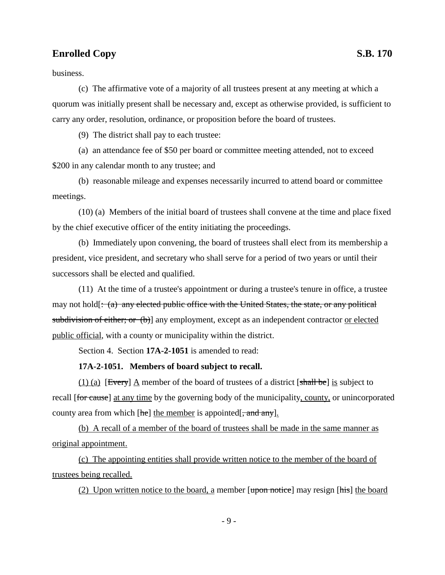business.

(c) The affirmative vote of a majority of all trustees present at any meeting at which a quorum was initially present shall be necessary and, except as otherwise provided, is sufficient to carry any order, resolution, ordinance, or proposition before the board of trustees.

(9) The district shall pay to each trustee:

(a) an attendance fee of \$50 per board or committee meeting attended, not to exceed \$200 in any calendar month to any trustee; and

(b) reasonable mileage and expenses necessarily incurred to attend board or committee meetings.

(10) (a) Members of the initial board of trustees shall convene at the time and place fixed by the chief executive officer of the entity initiating the proceedings.

(b) Immediately upon convening, the board of trustees shall elect from its membership a president, vice president, and secretary who shall serve for a period of two years or until their successors shall be elected and qualified.

(11) At the time of a trustee's appointment or during a trustee's tenure in office, a trustee may not hold[ $: (a)$  any elected public office with the United States, the state, or any political subdivision of either; or (b)] any employment, except as an independent contractor or elected public official, with a county or municipality within the district.

Section 4. Section **17A-2-1051** is amended to read:

### **17A-2-1051. Members of board subject to recall.**

(1) (a) [Every]  $\Delta$  member of the board of trustees of a district [shall be] is subject to recall [for cause] at any time by the governing body of the municipality, county, or unincorporated county area from which  $[he]$  the member is appointed  $[\frac{1}{2}$ , and any.

(b) A recall of a member of the board of trustees shall be made in the same manner as original appointment.

(c) The appointing entities shall provide written notice to the member of the board of trustees being recalled.

(2) Upon written notice to the board, a member  $[*upon notice*]$  may resign  $[*his*]$  the board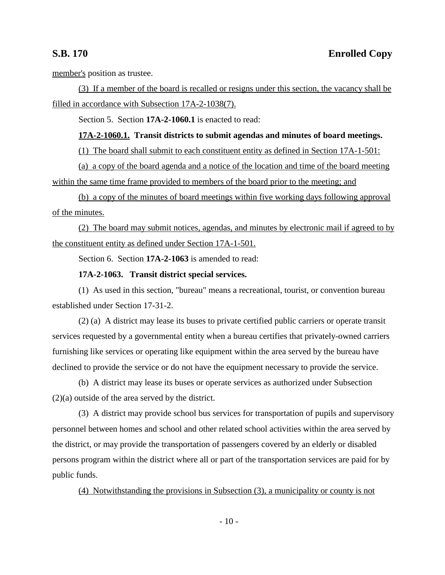member's position as trustee.

(3) If a member of the board is recalled or resigns under this section, the vacancy shall be filled in accordance with Subsection 17A-2-1038(7).

Section 5. Section **17A-2-1060.1** is enacted to read:

## **17A-2-1060.1. Transit districts to submit agendas and minutes of board meetings.**

(1) The board shall submit to each constituent entity as defined in Section 17A-1-501:

(a) a copy of the board agenda and a notice of the location and time of the board meeting within the same time frame provided to members of the board prior to the meeting; and

(b) a copy of the minutes of board meetings within five working days following approval of the minutes.

(2) The board may submit notices, agendas, and minutes by electronic mail if agreed to by the constituent entity as defined under Section 17A-1-501.

Section 6. Section **17A-2-1063** is amended to read:

### **17A-2-1063. Transit district special services.**

(1) As used in this section, "bureau" means a recreational, tourist, or convention bureau established under Section 17-31-2.

(2) (a) A district may lease its buses to private certified public carriers or operate transit services requested by a governmental entity when a bureau certifies that privately-owned carriers furnishing like services or operating like equipment within the area served by the bureau have declined to provide the service or do not have the equipment necessary to provide the service.

(b) A district may lease its buses or operate services as authorized under Subsection (2)(a) outside of the area served by the district.

(3) A district may provide school bus services for transportation of pupils and supervisory personnel between homes and school and other related school activities within the area served by the district, or may provide the transportation of passengers covered by an elderly or disabled persons program within the district where all or part of the transportation services are paid for by public funds.

(4) Notwithstanding the provisions in Subsection (3), a municipality or county is not